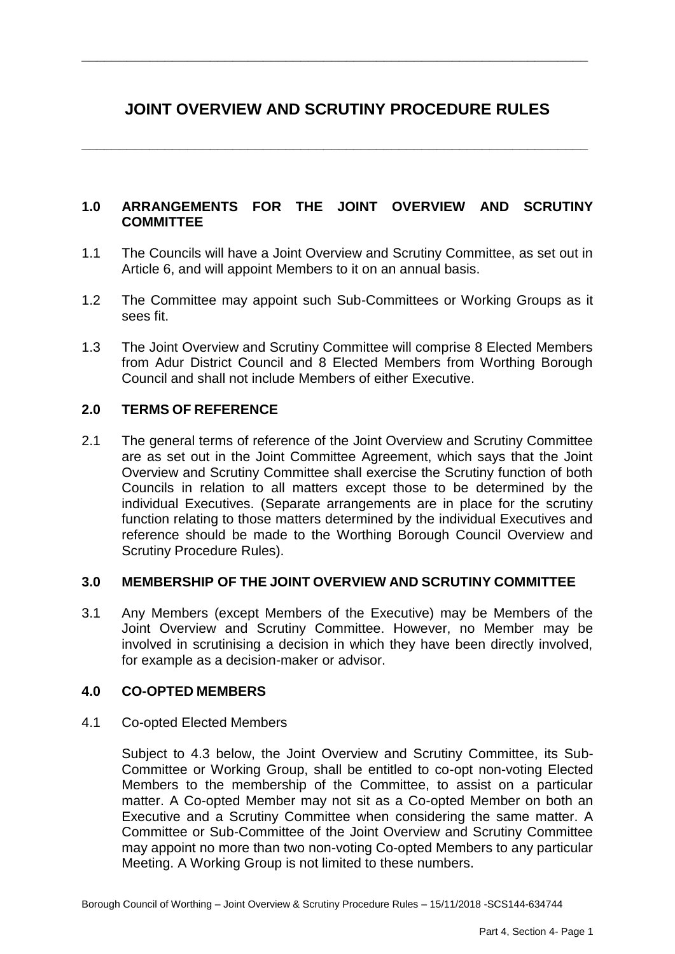# **JOINT OVERVIEW AND SCRUTINY PROCEDURE RULES**

**\_\_\_\_\_\_\_\_\_\_\_\_\_\_\_\_\_\_\_\_\_\_\_\_\_\_\_\_\_\_\_\_\_\_\_\_\_\_\_\_\_\_\_\_\_\_\_\_\_\_\_\_\_\_\_\_\_\_\_\_\_\_\_\_\_\_\_**

**\_\_\_\_\_\_\_\_\_\_\_\_\_\_\_\_\_\_\_\_\_\_\_\_\_\_\_\_\_\_\_\_\_\_\_\_\_\_\_\_\_\_\_\_\_\_\_\_\_\_\_\_\_\_\_\_\_\_\_\_\_\_\_\_\_\_\_**

### **1.0 ARRANGEMENTS FOR THE JOINT OVERVIEW AND SCRUTINY COMMITTEE**

- 1.1 The Councils will have a Joint Overview and Scrutiny Committee, as set out in Article 6, and will appoint Members to it on an annual basis.
- 1.2 The Committee may appoint such Sub-Committees or Working Groups as it sees fit.
- 1.3 The Joint Overview and Scrutiny Committee will comprise 8 Elected Members from Adur District Council and 8 Elected Members from Worthing Borough Council and shall not include Members of either Executive.

### **2.0 TERMS OF REFERENCE**

2.1 The general terms of reference of the Joint Overview and Scrutiny Committee are as set out in the Joint Committee Agreement, which says that the Joint Overview and Scrutiny Committee shall exercise the Scrutiny function of both Councils in relation to all matters except those to be determined by the individual Executives. (Separate arrangements are in place for the scrutiny function relating to those matters determined by the individual Executives and reference should be made to the Worthing Borough Council Overview and Scrutiny Procedure Rules).

#### **3.0 MEMBERSHIP OF THE JOINT OVERVIEW AND SCRUTINY COMMITTEE**

3.1 Any Members (except Members of the Executive) may be Members of the Joint Overview and Scrutiny Committee. However, no Member may be involved in scrutinising a decision in which they have been directly involved, for example as a decision-maker or advisor.

#### **4.0 CO-OPTED MEMBERS**

#### 4.1 Co-opted Elected Members

Subject to 4.3 below, the Joint Overview and Scrutiny Committee, its Sub-Committee or Working Group, shall be entitled to co-opt non-voting Elected Members to the membership of the Committee, to assist on a particular matter. A Co-opted Member may not sit as a Co-opted Member on both an Executive and a Scrutiny Committee when considering the same matter. A Committee or Sub-Committee of the Joint Overview and Scrutiny Committee may appoint no more than two non-voting Co-opted Members to any particular Meeting. A Working Group is not limited to these numbers.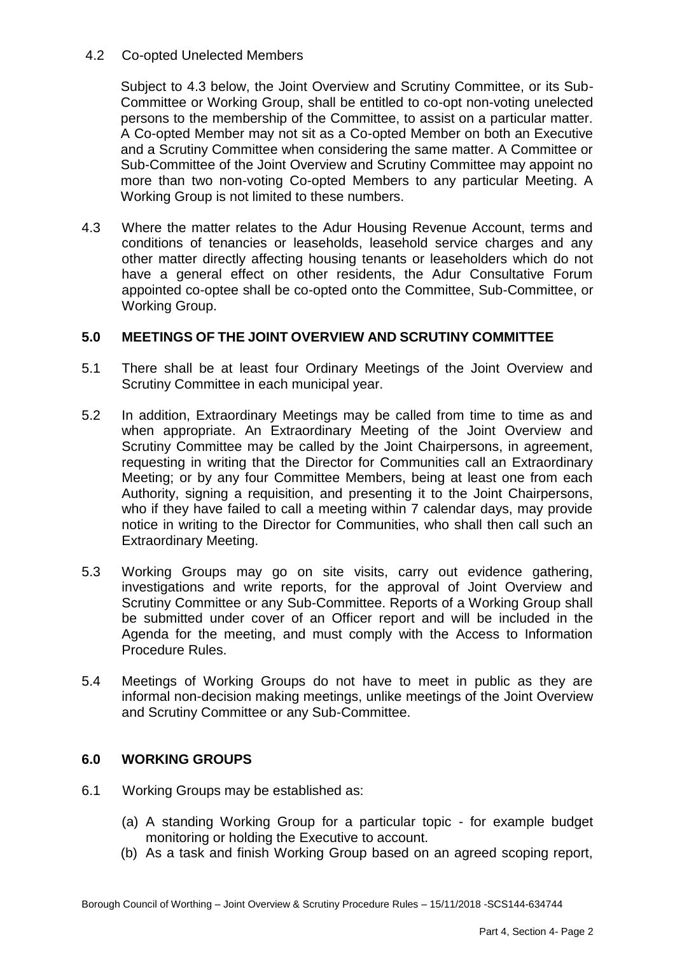### 4.2 Co-opted Unelected Members

Subject to 4.3 below, the Joint Overview and Scrutiny Committee, or its Sub-Committee or Working Group, shall be entitled to co-opt non-voting unelected persons to the membership of the Committee, to assist on a particular matter. A Co-opted Member may not sit as a Co-opted Member on both an Executive and a Scrutiny Committee when considering the same matter. A Committee or Sub-Committee of the Joint Overview and Scrutiny Committee may appoint no more than two non-voting Co-opted Members to any particular Meeting. A Working Group is not limited to these numbers.

4.3 Where the matter relates to the Adur Housing Revenue Account, terms and conditions of tenancies or leaseholds, leasehold service charges and any other matter directly affecting housing tenants or leaseholders which do not have a general effect on other residents, the Adur Consultative Forum appointed co-optee shall be co-opted onto the Committee, Sub-Committee, or Working Group.

### **5.0 MEETINGS OF THE JOINT OVERVIEW AND SCRUTINY COMMITTEE**

- 5.1 There shall be at least four Ordinary Meetings of the Joint Overview and Scrutiny Committee in each municipal year.
- 5.2 In addition, Extraordinary Meetings may be called from time to time as and when appropriate. An Extraordinary Meeting of the Joint Overview and Scrutiny Committee may be called by the Joint Chairpersons, in agreement, requesting in writing that the Director for Communities call an Extraordinary Meeting; or by any four Committee Members, being at least one from each Authority, signing a requisition, and presenting it to the Joint Chairpersons, who if they have failed to call a meeting within 7 calendar days, may provide notice in writing to the Director for Communities, who shall then call such an Extraordinary Meeting.
- 5.3 Working Groups may go on site visits, carry out evidence gathering, investigations and write reports, for the approval of Joint Overview and Scrutiny Committee or any Sub-Committee. Reports of a Working Group shall be submitted under cover of an Officer report and will be included in the Agenda for the meeting, and must comply with the Access to Information Procedure Rules.
- 5.4 Meetings of Working Groups do not have to meet in public as they are informal non-decision making meetings, unlike meetings of the Joint Overview and Scrutiny Committee or any Sub-Committee.

### **6.0 WORKING GROUPS**

- 6.1 Working Groups may be established as:
	- (a) A standing Working Group for a particular topic for example budget monitoring or holding the Executive to account.
	- (b) As a task and finish Working Group based on an agreed scoping report,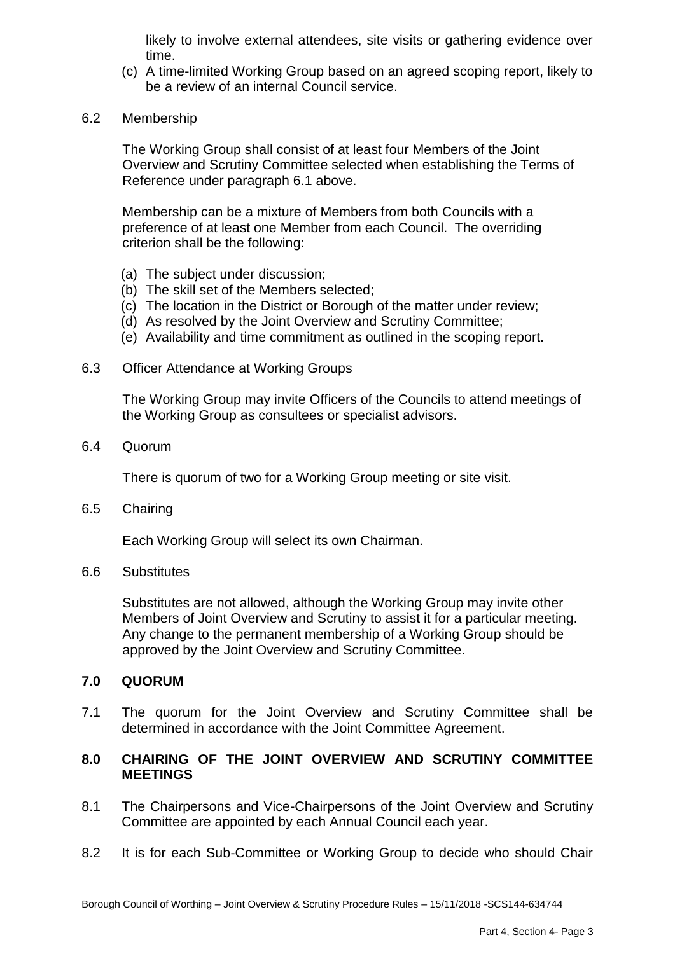likely to involve external attendees, site visits or gathering evidence over time.

- (c) A time-limited Working Group based on an agreed scoping report, likely to be a review of an internal Council service.
- 6.2 Membership

The Working Group shall consist of at least four Members of the Joint Overview and Scrutiny Committee selected when establishing the Terms of Reference under paragraph 6.1 above.

Membership can be a mixture of Members from both Councils with a preference of at least one Member from each Council. The overriding criterion shall be the following:

- (a) The subject under discussion;
- (b) The skill set of the Members selected;
- (c) The location in the District or Borough of the matter under review;
- (d) As resolved by the Joint Overview and Scrutiny Committee;
- (e) Availability and time commitment as outlined in the scoping report.
- 6.3 Officer Attendance at Working Groups

The Working Group may invite Officers of the Councils to attend meetings of the Working Group as consultees or specialist advisors.

6.4 Quorum

There is quorum of two for a Working Group meeting or site visit.

6.5 Chairing

Each Working Group will select its own Chairman.

6.6 Substitutes

Substitutes are not allowed, although the Working Group may invite other Members of Joint Overview and Scrutiny to assist it for a particular meeting. Any change to the permanent membership of a Working Group should be approved by the Joint Overview and Scrutiny Committee.

#### **7.0 QUORUM**

7.1 The quorum for the Joint Overview and Scrutiny Committee shall be determined in accordance with the Joint Committee Agreement.

### **8.0 CHAIRING OF THE JOINT OVERVIEW AND SCRUTINY COMMITTEE MEETINGS**

- 8.1 The Chairpersons and Vice-Chairpersons of the Joint Overview and Scrutiny Committee are appointed by each Annual Council each year.
- 8.2 It is for each Sub-Committee or Working Group to decide who should Chair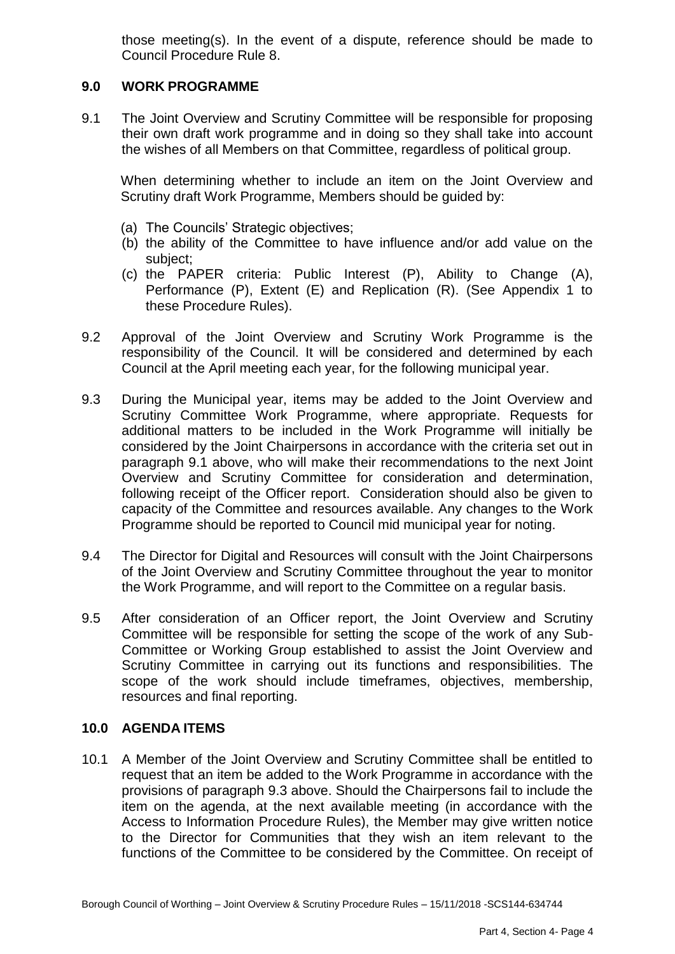those meeting(s). In the event of a dispute, reference should be made to Council Procedure Rule 8.

### **9.0 WORK PROGRAMME**

9.1 The Joint Overview and Scrutiny Committee will be responsible for proposing their own draft work programme and in doing so they shall take into account the wishes of all Members on that Committee, regardless of political group.

When determining whether to include an item on the Joint Overview and Scrutiny draft Work Programme, Members should be guided by:

- (a) The Councils' Strategic objectives;
- (b) the ability of the Committee to have influence and/or add value on the subject;
- (c) the PAPER criteria: Public Interest (P), Ability to Change (A), Performance (P), Extent (E) and Replication (R). (See Appendix 1 to these Procedure Rules).
- 9.2 Approval of the Joint Overview and Scrutiny Work Programme is the responsibility of the Council. It will be considered and determined by each Council at the April meeting each year, for the following municipal year.
- 9.3 During the Municipal year, items may be added to the Joint Overview and Scrutiny Committee Work Programme, where appropriate. Requests for additional matters to be included in the Work Programme will initially be considered by the Joint Chairpersons in accordance with the criteria set out in paragraph 9.1 above, who will make their recommendations to the next Joint Overview and Scrutiny Committee for consideration and determination, following receipt of the Officer report. Consideration should also be given to capacity of the Committee and resources available. Any changes to the Work Programme should be reported to Council mid municipal year for noting.
- 9.4 The Director for Digital and Resources will consult with the Joint Chairpersons of the Joint Overview and Scrutiny Committee throughout the year to monitor the Work Programme, and will report to the Committee on a regular basis.
- 9.5 After consideration of an Officer report, the Joint Overview and Scrutiny Committee will be responsible for setting the scope of the work of any Sub-Committee or Working Group established to assist the Joint Overview and Scrutiny Committee in carrying out its functions and responsibilities. The scope of the work should include timeframes, objectives, membership, resources and final reporting.

#### **10.0 AGENDA ITEMS**

10.1 A Member of the Joint Overview and Scrutiny Committee shall be entitled to request that an item be added to the Work Programme in accordance with the provisions of paragraph 9.3 above. Should the Chairpersons fail to include the item on the agenda, at the next available meeting (in accordance with the Access to Information Procedure Rules), the Member may give written notice to the Director for Communities that they wish an item relevant to the functions of the Committee to be considered by the Committee. On receipt of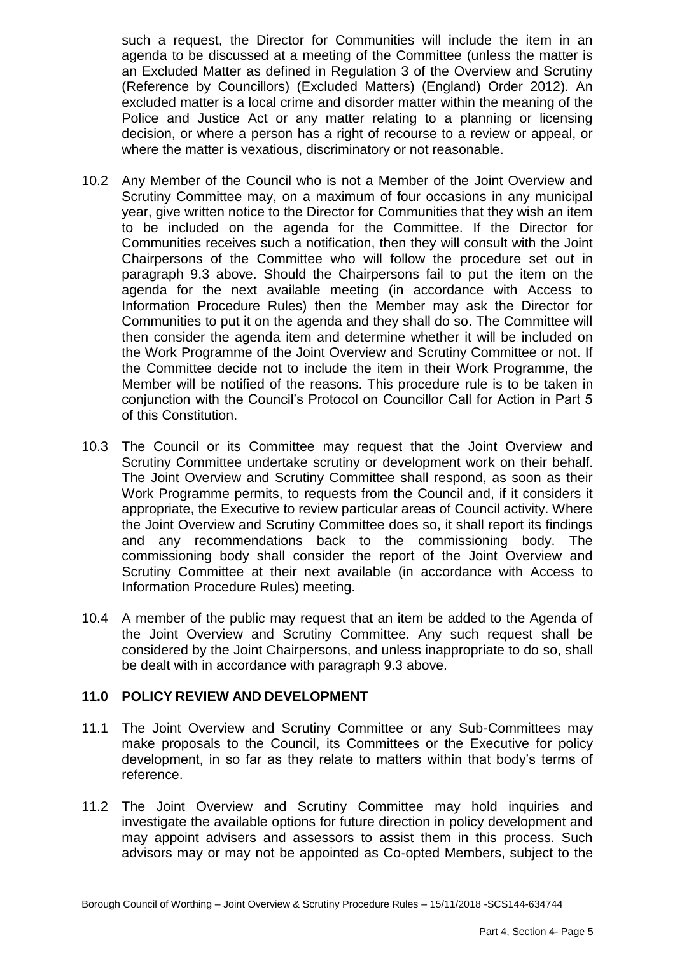such a request, the Director for Communities will include the item in an agenda to be discussed at a meeting of the Committee (unless the matter is an Excluded Matter as defined in Regulation 3 of the Overview and Scrutiny (Reference by Councillors) (Excluded Matters) (England) Order 2012). An excluded matter is a local crime and disorder matter within the meaning of the Police and Justice Act or any matter relating to a planning or licensing decision, or where a person has a right of recourse to a review or appeal, or where the matter is vexatious, discriminatory or not reasonable.

- 10.2 Any Member of the Council who is not a Member of the Joint Overview and Scrutiny Committee may, on a maximum of four occasions in any municipal year, give written notice to the Director for Communities that they wish an item to be included on the agenda for the Committee. If the Director for Communities receives such a notification, then they will consult with the Joint Chairpersons of the Committee who will follow the procedure set out in paragraph 9.3 above. Should the Chairpersons fail to put the item on the agenda for the next available meeting (in accordance with Access to Information Procedure Rules) then the Member may ask the Director for Communities to put it on the agenda and they shall do so. The Committee will then consider the agenda item and determine whether it will be included on the Work Programme of the Joint Overview and Scrutiny Committee or not. If the Committee decide not to include the item in their Work Programme, the Member will be notified of the reasons. This procedure rule is to be taken in conjunction with the Council's Protocol on Councillor Call for Action in Part 5 of this Constitution.
- 10.3 The Council or its Committee may request that the Joint Overview and Scrutiny Committee undertake scrutiny or development work on their behalf. The Joint Overview and Scrutiny Committee shall respond, as soon as their Work Programme permits, to requests from the Council and, if it considers it appropriate, the Executive to review particular areas of Council activity. Where the Joint Overview and Scrutiny Committee does so, it shall report its findings and any recommendations back to the commissioning body. The commissioning body shall consider the report of the Joint Overview and Scrutiny Committee at their next available (in accordance with Access to Information Procedure Rules) meeting.
- 10.4 A member of the public may request that an item be added to the Agenda of the Joint Overview and Scrutiny Committee. Any such request shall be considered by the Joint Chairpersons, and unless inappropriate to do so, shall be dealt with in accordance with paragraph 9.3 above.

### **11.0 POLICY REVIEW AND DEVELOPMENT**

- 11.1 The Joint Overview and Scrutiny Committee or any Sub-Committees may make proposals to the Council, its Committees or the Executive for policy development, in so far as they relate to matters within that body's terms of reference.
- 11.2 The Joint Overview and Scrutiny Committee may hold inquiries and investigate the available options for future direction in policy development and may appoint advisers and assessors to assist them in this process. Such advisors may or may not be appointed as Co-opted Members, subject to the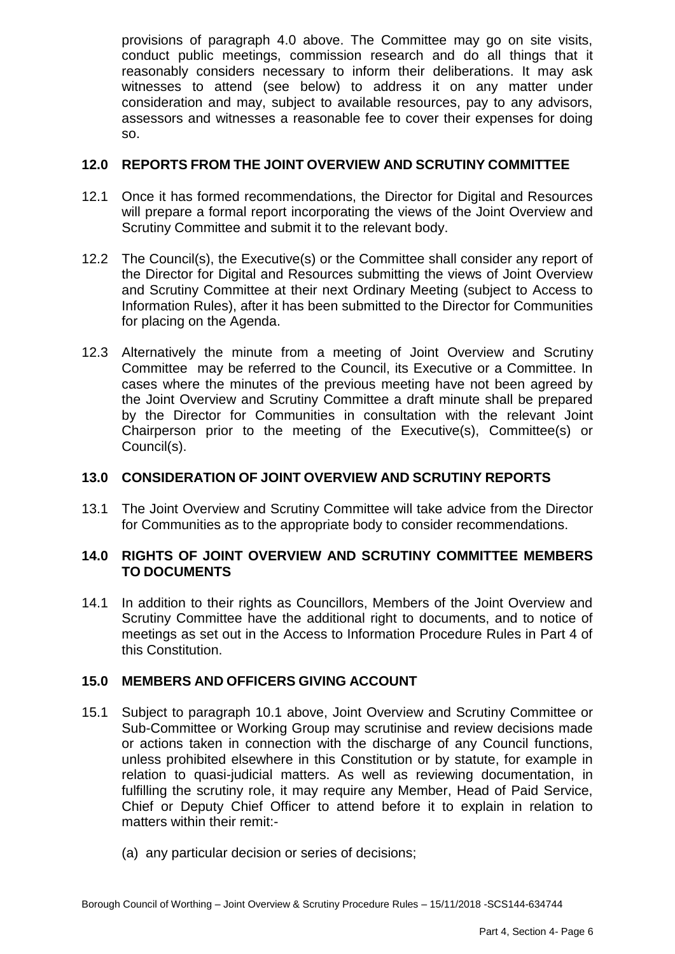provisions of paragraph 4.0 above. The Committee may go on site visits, conduct public meetings, commission research and do all things that it reasonably considers necessary to inform their deliberations. It may ask witnesses to attend (see below) to address it on any matter under consideration and may, subject to available resources, pay to any advisors, assessors and witnesses a reasonable fee to cover their expenses for doing so.

### **12.0 REPORTS FROM THE JOINT OVERVIEW AND SCRUTINY COMMITTEE**

- 12.1 Once it has formed recommendations, the Director for Digital and Resources will prepare a formal report incorporating the views of the Joint Overview and Scrutiny Committee and submit it to the relevant body.
- 12.2 The Council(s), the Executive(s) or the Committee shall consider any report of the Director for Digital and Resources submitting the views of Joint Overview and Scrutiny Committee at their next Ordinary Meeting (subject to Access to Information Rules), after it has been submitted to the Director for Communities for placing on the Agenda.
- 12.3 Alternatively the minute from a meeting of Joint Overview and Scrutiny Committee may be referred to the Council, its Executive or a Committee. In cases where the minutes of the previous meeting have not been agreed by the Joint Overview and Scrutiny Committee a draft minute shall be prepared by the Director for Communities in consultation with the relevant Joint Chairperson prior to the meeting of the Executive(s), Committee(s) or Council(s).

### **13.0 CONSIDERATION OF JOINT OVERVIEW AND SCRUTINY REPORTS**

13.1 The Joint Overview and Scrutiny Committee will take advice from the Director for Communities as to the appropriate body to consider recommendations.

### **14.0 RIGHTS OF JOINT OVERVIEW AND SCRUTINY COMMITTEE MEMBERS TO DOCUMENTS**

14.1 In addition to their rights as Councillors, Members of the Joint Overview and Scrutiny Committee have the additional right to documents, and to notice of meetings as set out in the Access to Information Procedure Rules in Part 4 of this Constitution.

### **15.0 MEMBERS AND OFFICERS GIVING ACCOUNT**

- 15.1 Subject to paragraph 10.1 above, Joint Overview and Scrutiny Committee or Sub-Committee or Working Group may scrutinise and review decisions made or actions taken in connection with the discharge of any Council functions, unless prohibited elsewhere in this Constitution or by statute, for example in relation to quasi-judicial matters. As well as reviewing documentation, in fulfilling the scrutiny role, it may require any Member, Head of Paid Service, Chief or Deputy Chief Officer to attend before it to explain in relation to matters within their remit:-
	- (a) any particular decision or series of decisions;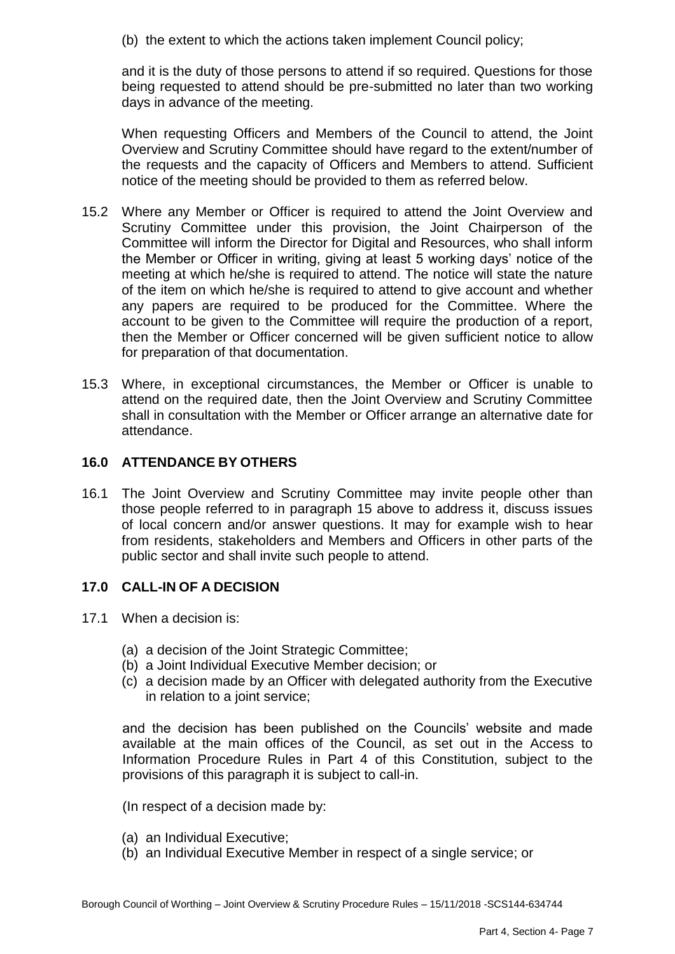(b) the extent to which the actions taken implement Council policy;

and it is the duty of those persons to attend if so required. Questions for those being requested to attend should be pre-submitted no later than two working days in advance of the meeting.

When requesting Officers and Members of the Council to attend, the Joint Overview and Scrutiny Committee should have regard to the extent/number of the requests and the capacity of Officers and Members to attend. Sufficient notice of the meeting should be provided to them as referred below.

- 15.2 Where any Member or Officer is required to attend the Joint Overview and Scrutiny Committee under this provision, the Joint Chairperson of the Committee will inform the Director for Digital and Resources, who shall inform the Member or Officer in writing, giving at least 5 working days' notice of the meeting at which he/she is required to attend. The notice will state the nature of the item on which he/she is required to attend to give account and whether any papers are required to be produced for the Committee. Where the account to be given to the Committee will require the production of a report, then the Member or Officer concerned will be given sufficient notice to allow for preparation of that documentation.
- 15.3 Where, in exceptional circumstances, the Member or Officer is unable to attend on the required date, then the Joint Overview and Scrutiny Committee shall in consultation with the Member or Officer arrange an alternative date for attendance.

### **16.0 ATTENDANCE BY OTHERS**

16.1 The Joint Overview and Scrutiny Committee may invite people other than those people referred to in paragraph 15 above to address it, discuss issues of local concern and/or answer questions. It may for example wish to hear from residents, stakeholders and Members and Officers in other parts of the public sector and shall invite such people to attend.

# **17.0 CALL-IN OF A DECISION**

- 17.1 When a decision is:
	- (a) a decision of the Joint Strategic Committee;
	- (b) a Joint Individual Executive Member decision; or
	- (c) a decision made by an Officer with delegated authority from the Executive in relation to a joint service;

and the decision has been published on the Councils' website and made available at the main offices of the Council, as set out in the Access to Information Procedure Rules in Part 4 of this Constitution, subject to the provisions of this paragraph it is subject to call-in.

(In respect of a decision made by:

- (a) an Individual Executive;
- (b) an Individual Executive Member in respect of a single service; or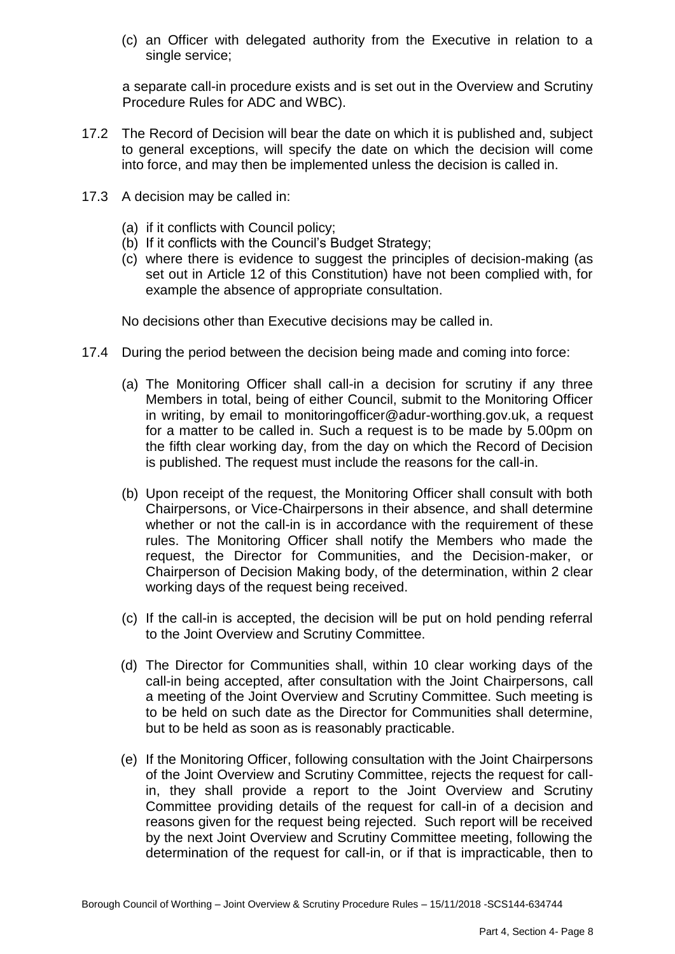(c) an Officer with delegated authority from the Executive in relation to a single service;

a separate call-in procedure exists and is set out in the Overview and Scrutiny Procedure Rules for ADC and WBC).

- 17.2 The Record of Decision will bear the date on which it is published and, subject to general exceptions, will specify the date on which the decision will come into force, and may then be implemented unless the decision is called in.
- 17.3 A decision may be called in:
	- (a) if it conflicts with Council policy;
	- (b) If it conflicts with the Council's Budget Strategy;
	- (c) where there is evidence to suggest the principles of decision-making (as set out in Article 12 of this Constitution) have not been complied with, for example the absence of appropriate consultation.

No decisions other than Executive decisions may be called in.

- 17.4 During the period between the decision being made and coming into force:
	- (a) The Monitoring Officer shall call-in a decision for scrutiny if any three Members in total, being of either Council, submit to the Monitoring Officer in writing, by email to [monitoringofficer@adur-worthing.gov.uk,](mailto:monitoringofficer@adur-worthing.gov.uk) a request for a matter to be called in. Such a request is to be made by 5.00pm on the fifth clear working day, from the day on which the Record of Decision is published. The request must include the reasons for the call-in.
	- (b) Upon receipt of the request, the Monitoring Officer shall consult with both Chairpersons, or Vice-Chairpersons in their absence, and shall determine whether or not the call-in is in accordance with the requirement of these rules. The Monitoring Officer shall notify the Members who made the request, the Director for Communities, and the Decision-maker, or Chairperson of Decision Making body, of the determination, within 2 clear working days of the request being received.
	- (c) If the call-in is accepted, the decision will be put on hold pending referral to the Joint Overview and Scrutiny Committee.
	- (d) The Director for Communities shall, within 10 clear working days of the call-in being accepted, after consultation with the Joint Chairpersons, call a meeting of the Joint Overview and Scrutiny Committee. Such meeting is to be held on such date as the Director for Communities shall determine, but to be held as soon as is reasonably practicable.
	- (e) If the Monitoring Officer, following consultation with the Joint Chairpersons of the Joint Overview and Scrutiny Committee, rejects the request for callin, they shall provide a report to the Joint Overview and Scrutiny Committee providing details of the request for call-in of a decision and reasons given for the request being rejected. Such report will be received by the next Joint Overview and Scrutiny Committee meeting, following the determination of the request for call-in, or if that is impracticable, then to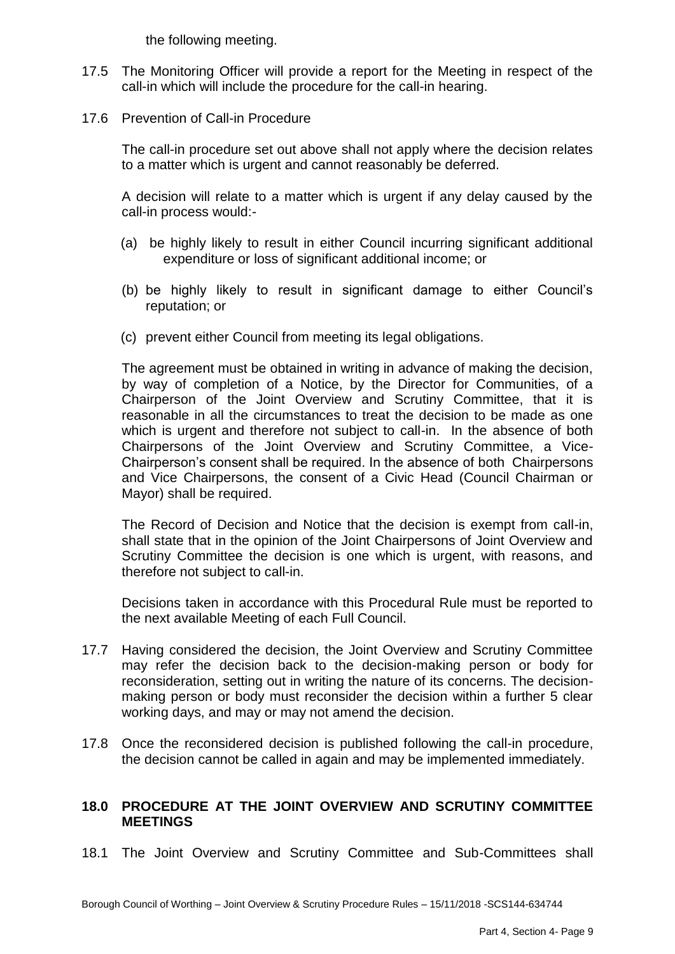the following meeting.

- 17.5 The Monitoring Officer will provide a report for the Meeting in respect of the call-in which will include the procedure for the call-in hearing.
- 17.6 Prevention of Call-in Procedure

The call-in procedure set out above shall not apply where the decision relates to a matter which is urgent and cannot reasonably be deferred.

A decision will relate to a matter which is urgent if any delay caused by the call-in process would:-

- (a) be highly likely to result in either Council incurring significant additional expenditure or loss of significant additional income; or
- (b) be highly likely to result in significant damage to either Council's reputation; or
- (c) prevent either Council from meeting its legal obligations.

The agreement must be obtained in writing in advance of making the decision, by way of completion of a Notice, by the Director for Communities, of a Chairperson of the Joint Overview and Scrutiny Committee, that it is reasonable in all the circumstances to treat the decision to be made as one which is urgent and therefore not subject to call-in. In the absence of both Chairpersons of the Joint Overview and Scrutiny Committee, a Vice-Chairperson's consent shall be required. In the absence of both Chairpersons and Vice Chairpersons, the consent of a Civic Head (Council Chairman or Mayor) shall be required.

The Record of Decision and Notice that the decision is exempt from call-in, shall state that in the opinion of the Joint Chairpersons of Joint Overview and Scrutiny Committee the decision is one which is urgent, with reasons, and therefore not subject to call-in.

Decisions taken in accordance with this Procedural Rule must be reported to the next available Meeting of each Full Council.

- 17.7 Having considered the decision, the Joint Overview and Scrutiny Committee may refer the decision back to the decision-making person or body for reconsideration, setting out in writing the nature of its concerns. The decisionmaking person or body must reconsider the decision within a further 5 clear working days, and may or may not amend the decision.
- 17.8 Once the reconsidered decision is published following the call-in procedure, the decision cannot be called in again and may be implemented immediately.

### **18.0 PROCEDURE AT THE JOINT OVERVIEW AND SCRUTINY COMMITTEE MEETINGS**

18.1 The Joint Overview and Scrutiny Committee and Sub-Committees shall